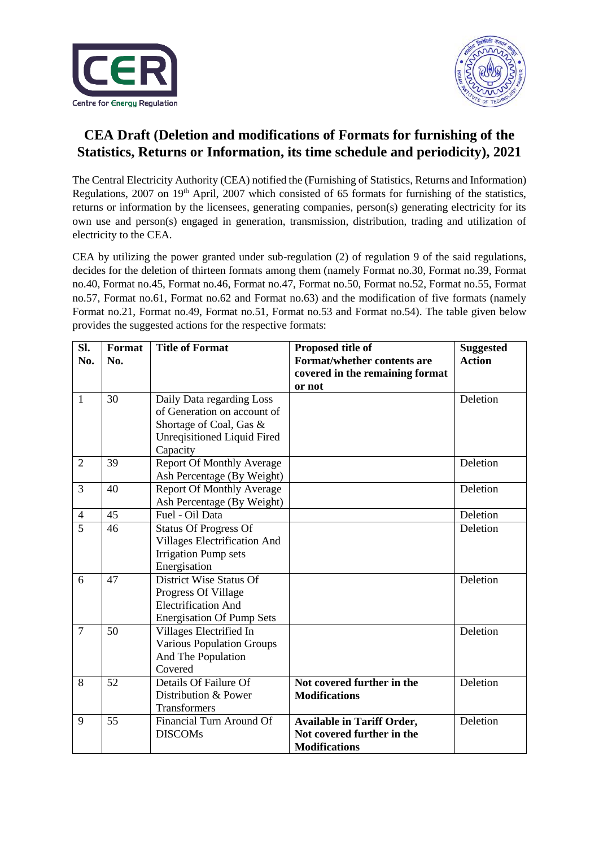



## **CEA Draft (Deletion and modifications of Formats for furnishing of the Statistics, Returns or Information, its time schedule and periodicity), 2021**

The Central Electricity Authority (CEA) notified the (Furnishing of Statistics, Returns and Information) Regulations, 2007 on 19<sup>th</sup> April, 2007 which consisted of 65 formats for furnishing of the statistics, returns or information by the licensees, generating companies, person(s) generating electricity for its own use and person(s) engaged in generation, transmission, distribution, trading and utilization of electricity to the CEA.

CEA by utilizing the power granted under sub-regulation (2) of regulation 9 of the said regulations, decides for the deletion of thirteen formats among them (namely Format no.30, Format no.39, Format no.40, Format no.45, Format no.46, Format no.47, Format no.50, Format no.52, Format no.55, Format no.57, Format no.61, Format no.62 and Format no.63) and the modification of five formats (namely Format no.21, Format no.49, Format no.51, Format no.53 and Format no.54). The table given below provides the suggested actions for the respective formats:

| SI.            | Format | <b>Title of Format</b>              | Proposed title of                 | <b>Suggested</b> |
|----------------|--------|-------------------------------------|-----------------------------------|------------------|
| No.            | No.    |                                     | Format/whether contents are       | <b>Action</b>    |
|                |        |                                     | covered in the remaining format   |                  |
|                |        |                                     | or not                            |                  |
| 1              | 30     | Daily Data regarding Loss           |                                   | Deletion         |
|                |        | of Generation on account of         |                                   |                  |
|                |        | Shortage of Coal, Gas &             |                                   |                  |
|                |        | <b>Unreqisitioned Liquid Fired</b>  |                                   |                  |
|                |        | Capacity                            |                                   |                  |
| $\overline{2}$ | 39     | <b>Report Of Monthly Average</b>    |                                   | Deletion         |
|                |        | Ash Percentage (By Weight)          |                                   |                  |
| 3              | 40     | <b>Report Of Monthly Average</b>    |                                   | Deletion         |
|                |        | Ash Percentage (By Weight)          |                                   |                  |
| 4              | 45     | Fuel - Oil Data                     |                                   | Deletion         |
| $\overline{5}$ | 46     | <b>Status Of Progress Of</b>        |                                   | Deletion         |
|                |        | <b>Villages Electrification And</b> |                                   |                  |
|                |        | <b>Irrigation Pump sets</b>         |                                   |                  |
|                |        | Energisation                        |                                   |                  |
| 6              | 47     | District Wise Status Of             |                                   | Deletion         |
|                |        | Progress Of Village                 |                                   |                  |
|                |        | <b>Electrification And</b>          |                                   |                  |
|                |        | <b>Energisation Of Pump Sets</b>    |                                   |                  |
| $\overline{7}$ | 50     | Villages Electrified In             |                                   | Deletion         |
|                |        | <b>Various Population Groups</b>    |                                   |                  |
|                |        | And The Population                  |                                   |                  |
|                |        | Covered                             |                                   |                  |
| 8              | 52     | Details Of Failure Of               | Not covered further in the        | Deletion         |
|                |        | Distribution & Power                | <b>Modifications</b>              |                  |
|                |        | Transformers                        |                                   |                  |
| 9              | 55     | Financial Turn Around Of            | <b>Available in Tariff Order,</b> | Deletion         |
|                |        | <b>DISCOMs</b>                      | Not covered further in the        |                  |
|                |        |                                     | <b>Modifications</b>              |                  |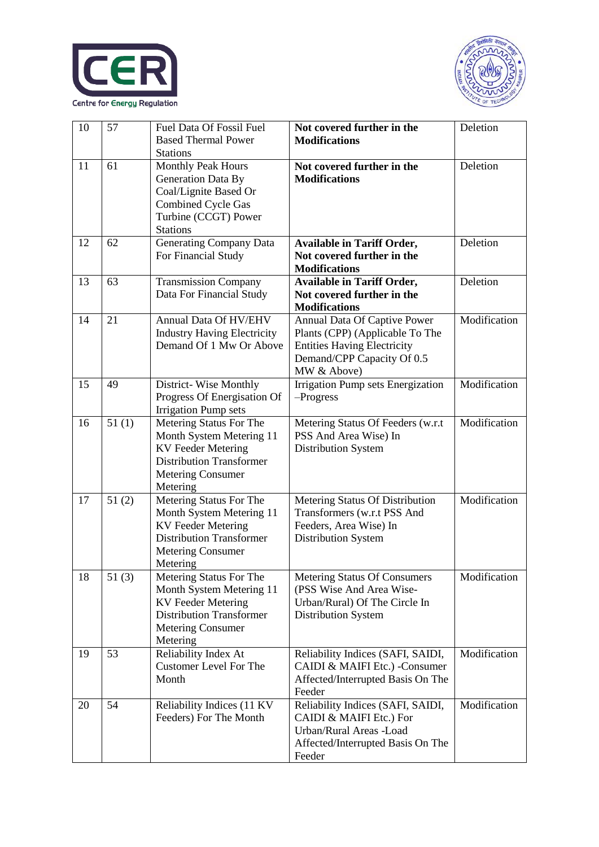



| 10 | 57    | Fuel Data Of Fossil Fuel<br><b>Based Thermal Power</b><br><b>Stations</b>                                                                                   | Not covered further in the<br><b>Modifications</b>                                                                                                 | Deletion     |
|----|-------|-------------------------------------------------------------------------------------------------------------------------------------------------------------|----------------------------------------------------------------------------------------------------------------------------------------------------|--------------|
| 11 | 61    | Monthly Peak Hours<br>Generation Data By<br>Coal/Lignite Based Or<br><b>Combined Cycle Gas</b><br>Turbine (CCGT) Power<br><b>Stations</b>                   | Not covered further in the<br><b>Modifications</b>                                                                                                 | Deletion     |
| 12 | 62    | <b>Generating Company Data</b><br>For Financial Study                                                                                                       | <b>Available in Tariff Order,</b><br>Not covered further in the<br><b>Modifications</b>                                                            | Deletion     |
| 13 | 63    | <b>Transmission Company</b><br>Data For Financial Study                                                                                                     | <b>Available in Tariff Order,</b><br>Not covered further in the<br><b>Modifications</b>                                                            | Deletion     |
| 14 | 21    | Annual Data Of HV/EHV<br><b>Industry Having Electricity</b><br>Demand Of 1 Mw Or Above                                                                      | Annual Data Of Captive Power<br>Plants (CPP) (Applicable To The<br><b>Entities Having Electricity</b><br>Demand/CPP Capacity Of 0.5<br>MW & Above) | Modification |
| 15 | 49    | District-Wise Monthly<br>Progress Of Energisation Of<br><b>Irrigation Pump sets</b>                                                                         | Irrigation Pump sets Energization<br>$-$ Progress                                                                                                  | Modification |
| 16 | 51(1) | Metering Status For The<br>Month System Metering 11<br><b>KV</b> Feeder Metering<br><b>Distribution Transformer</b><br><b>Metering Consumer</b><br>Metering | Metering Status Of Feeders (w.r.t<br>PSS And Area Wise) In<br>Distribution System                                                                  | Modification |
| 17 | 51(2) | Metering Status For The<br>Month System Metering 11<br><b>KV</b> Feeder Metering<br><b>Distribution Transformer</b><br><b>Metering Consumer</b><br>Metering | Metering Status Of Distribution<br>Transformers (w.r.t PSS And<br>Feeders, Area Wise) In<br>Distribution System                                    | Modification |
| 18 | 51(3) | Metering Status For The<br>Month System Metering 11<br><b>KV</b> Feeder Metering<br><b>Distribution Transformer</b><br><b>Metering Consumer</b><br>Metering | Metering Status Of Consumers<br>(PSS Wise And Area Wise-<br>Urban/Rural) Of The Circle In<br>Distribution System                                   | Modification |
| 19 | 53    | Reliability Index At<br><b>Customer Level For The</b><br>Month                                                                                              | Reliability Indices (SAFI, SAIDI,<br>CAIDI & MAIFI Etc.) -Consumer<br>Affected/Interrupted Basis On The<br>Feeder                                  | Modification |
| 20 | 54    | Reliability Indices (11 KV<br>Feeders) For The Month                                                                                                        | Reliability Indices (SAFI, SAIDI,<br>CAIDI & MAIFI Etc.) For<br>Urban/Rural Areas -Load<br>Affected/Interrupted Basis On The<br>Feeder             | Modification |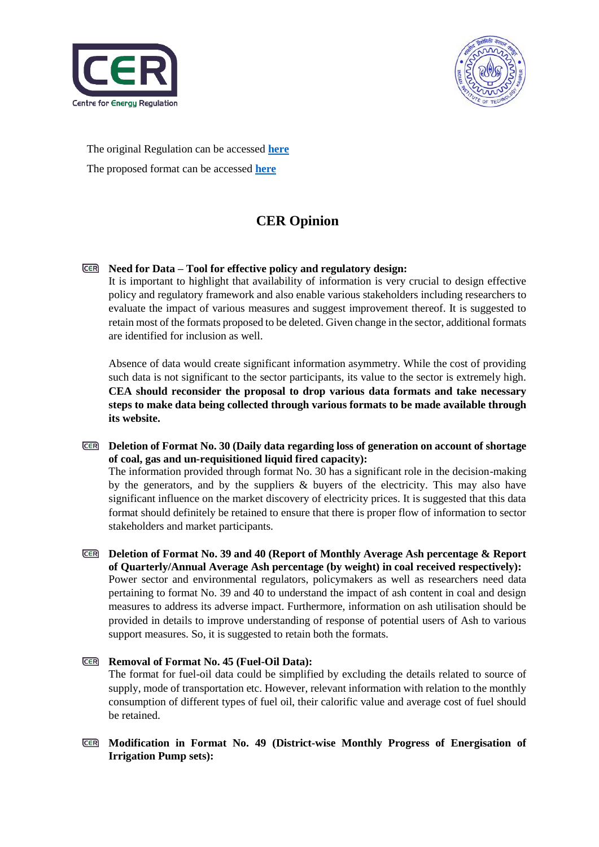



The original Regulation can be accessed **[here](https://cer.iitk.ac.in/odf_assets/upload_files/CEA_Furnishing_of_Statistics_Returns_Information_Regulations_2007.pdf)** The proposed format can be accessed **[here](https://cer.iitk.ac.in/odf_assets/Final_Document_for_upload_on_CEA_website.pdf)**

# **CER Opinion**

#### **Need for Data – Tool for effective policy and regulatory design:**

It is important to highlight that availability of information is very crucial to design effective policy and regulatory framework and also enable various stakeholders including researchers to evaluate the impact of various measures and suggest improvement thereof. It is suggested to retain most of the formats proposed to be deleted. Given change in the sector, additional formats are identified for inclusion as well.

Absence of data would create significant information asymmetry. While the cost of providing such data is not significant to the sector participants, its value to the sector is extremely high. **CEA should reconsider the proposal to drop various data formats and take necessary steps to make data being collected through various formats to be made available through its website.**

**Deletion of Format No. 30 (Daily data regarding loss of generation on account of shortage of coal, gas and un-requisitioned liquid fired capacity):** The information provided through format No. 30 has a significant role in the decision-making by the generators, and by the suppliers  $\&$  buyers of the electricity. This may also have significant influence on the market discovery of electricity prices. It is suggested that this data format should definitely be retained to ensure that there is proper flow of information to sector stakeholders and market participants.

**Deletion of Format No. 39 and 40 (Report of Monthly Average Ash percentage & Report of Quarterly/Annual Average Ash percentage (by weight) in coal received respectively):** Power sector and environmental regulators, policymakers as well as researchers need data pertaining to format No. 39 and 40 to understand the impact of ash content in coal and design measures to address its adverse impact. Furthermore, information on ash utilisation should be provided in details to improve understanding of response of potential users of Ash to various support measures. So, it is suggested to retain both the formats.

#### **Removal of Format No. 45 (Fuel-Oil Data):** The format for fuel-oil data could be simplified by excluding the details related to source of supply, mode of transportation etc. However, relevant information with relation to the monthly consumption of different types of fuel oil, their calorific value and average cost of fuel should be retained.

**Modification in Format No. 49 (District-wise Monthly Progress of Energisation of Irrigation Pump sets):**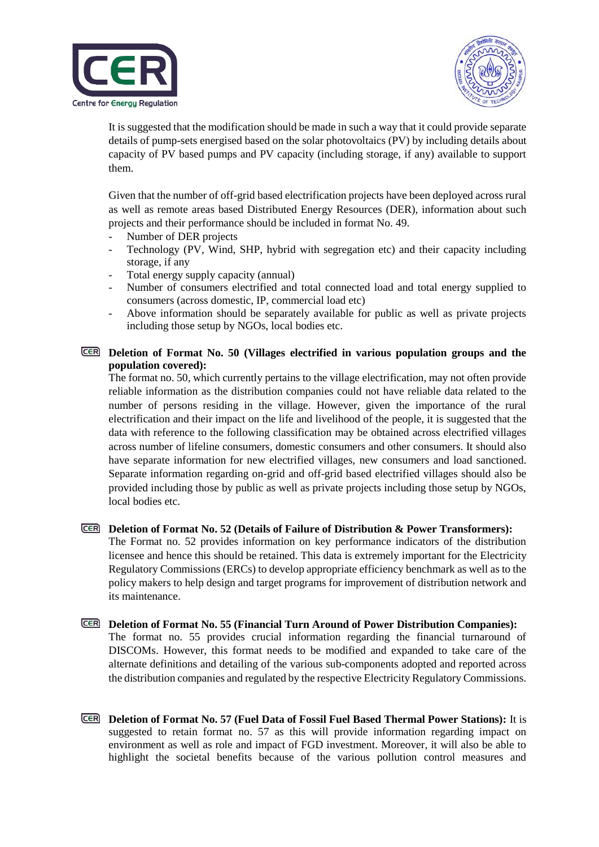



It is suggested that the modification should be made in such a way that it could provide separate details of pump-sets energised based on the solar photovoltaics (PV) by including details about capacity of PV based pumps and PV capacity (including storage, if any) available to support them.

Given that the number of off-grid based electrification projects have been deployed across rural as well as remote areas based Distributed Energy Resources (DER), information about such projects and their performance should be included in format No. 49.

- Number of DER projects
- Technology (PV, Wind, SHP, hybrid with segregation etc) and their capacity including storage, if any
- Total energy supply capacity (annual)
- Number of consumers electrified and total connected load and total energy supplied to consumers (across domestic, IP, commercial load etc)
- Above information should be separately available for public as well as private projects including those setup by NGOs, local bodies etc.

#### **Deletion of Format No. 50 (Villages electrified in various population groups and the population covered):**

The format no. 50, which currently pertains to the village electrification, may not often provide reliable information as the distribution companies could not have reliable data related to the number of persons residing in the village. However, given the importance of the rural electrification and their impact on the life and livelihood of the people, it is suggested that the data with reference to the following classification may be obtained across electrified villages across number of lifeline consumers, domestic consumers and other consumers. It should also have separate information for new electrified villages, new consumers and load sanctioned. Separate information regarding on-grid and off-grid based electrified villages should also be provided including those by public as well as private projects including those setup by NGOs, local bodies etc.

### **Deletion of Format No. 52 (Details of Failure of Distribution & Power Transformers):**

The Format no. 52 provides information on key performance indicators of the distribution licensee and hence this should be retained. This data is extremely important for the Electricity Regulatory Commissions (ERCs) to develop appropriate efficiency benchmark as well as to the policy makers to help design and target programs for improvement of distribution network and its maintenance.

- **Deletion of Format No. 55 (Financial Turn Around of Power Distribution Companies):** The format no. 55 provides crucial information regarding the financial turnaround of DISCOMs. However, this format needs to be modified and expanded to take care of the alternate definitions and detailing of the various sub-components adopted and reported across the distribution companies and regulated by the respective Electricity Regulatory Commissions.
- **Deletion of Format No. 57 (Fuel Data of Fossil Fuel Based Thermal Power Stations):** It is suggested to retain format no. 57 as this will provide information regarding impact on environment as well as role and impact of FGD investment. Moreover, it will also be able to highlight the societal benefits because of the various pollution control measures and